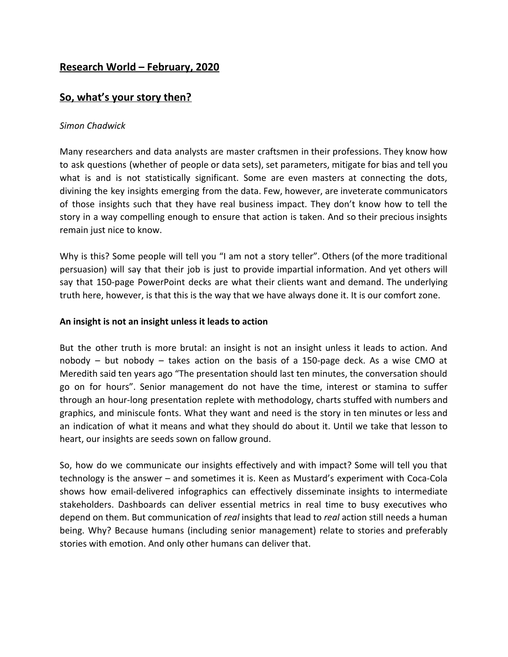# **Research World – February, 2020**

# **So, what's your story then?**

### *Simon Chadwick*

Many researchers and data analysts are master craftsmen in their professions. They know how to ask questions (whether of people or data sets), set parameters, mitigate for bias and tell you what is and is not statistically significant. Some are even masters at connecting the dots, divining the key insights emerging from the data. Few, however, are inveterate communicators of those insights such that they have real business impact. They don't know how to tell the story in a way compelling enough to ensure that action is taken. And so their precious insights remain just nice to know.

Why is this? Some people will tell you "I am not a story teller". Others (of the more traditional persuasion) will say that their job is just to provide impartial information. And yet others will say that 150-page PowerPoint decks are what their clients want and demand. The underlying truth here, however, is that this is the way that we have always done it. It is our comfort zone.

### **An insight is not an insight unless it leads to action**

But the other truth is more brutal: an insight is not an insight unless it leads to action. And nobody – but nobody – takes action on the basis of a 150-page deck. As a wise CMO at Meredith said ten years ago "The presentation should last ten minutes, the conversation should go on for hours". Senior management do not have the time, interest or stamina to suffer through an hour-long presentation replete with methodology, charts stuffed with numbers and graphics, and miniscule fonts. What they want and need is the story in ten minutes or less and an indication of what it means and what they should do about it. Until we take that lesson to heart, our insights are seeds sown on fallow ground.

So, how do we communicate our insights effectively and with impact? Some will tell you that technology is the answer – and sometimes it is. Keen as Mustard's experiment with Coca-Cola shows how email-delivered infographics can effectively disseminate insights to intermediate stakeholders. Dashboards can deliver essential metrics in real time to busy executives who depend on them. But communication of *real* insights that lead to *real* action still needs a human being. Why? Because humans (including senior management) relate to stories and preferably stories with emotion. And only other humans can deliver that.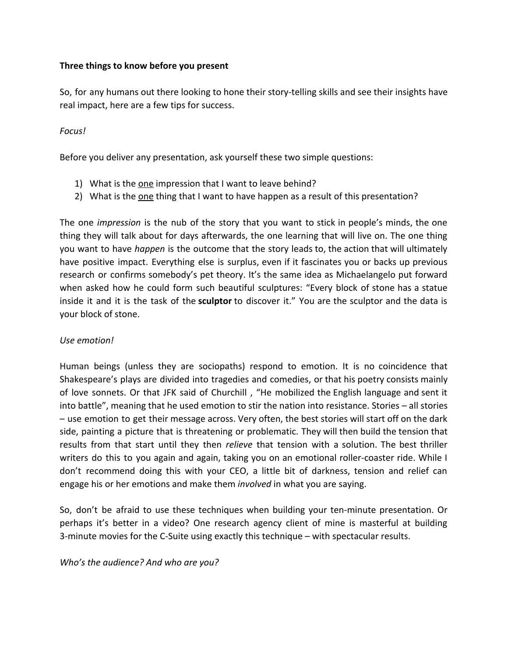### **Three things to know before you present**

So, for any humans out there looking to hone their story-telling skills and see their insights have real impact, here are a few tips for success.

### *Focus!*

Before you deliver any presentation, ask yourself these two simple questions:

- 1) What is the one impression that I want to leave behind?
- 2) What is the one thing that I want to have happen as a result of this presentation?

The one *impression* is the nub of the story that you want to stick in people's minds, the one thing they will talk about for days afterwards, the one learning that will live on. The one thing you want to have *happen* is the outcome that the story leads to, the action that will ultimately have positive impact. Everything else is surplus, even if it fascinates you or backs up previous research or confirms somebody's pet theory. It's the same idea as Michaelangelo put forward when asked how he could form such beautiful sculptures: "Every block of stone has a statue inside it and it is the task of the **sculptor** to discover it." You are the sculptor and the data is your block of stone.

#### *Use emotion!*

Human beings (unless they are sociopaths) respond to emotion. It is no coincidence that Shakespeare's plays are divided into tragedies and comedies, or that his poetry consists mainly of love sonnets. Or that JFK said of Churchill , "He mobilized the English language and sent it into battle", meaning that he used emotion to stir the nation into resistance. Stories – all stories – use emotion to get their message across. Very often, the best stories will start off on the dark side, painting a picture that is threatening or problematic. They will then build the tension that results from that start until they then *relieve* that tension with a solution. The best thriller writers do this to you again and again, taking you on an emotional roller-coaster ride. While I don't recommend doing this with your CEO, a little bit of darkness, tension and relief can engage his or her emotions and make them *involved* in what you are saying.

So, don't be afraid to use these techniques when building your ten-minute presentation. Or perhaps it's better in a video? One research agency client of mine is masterful at building 3-minute movies for the C-Suite using exactly this technique – with spectacular results.

*Who's the audience? And who are you?*